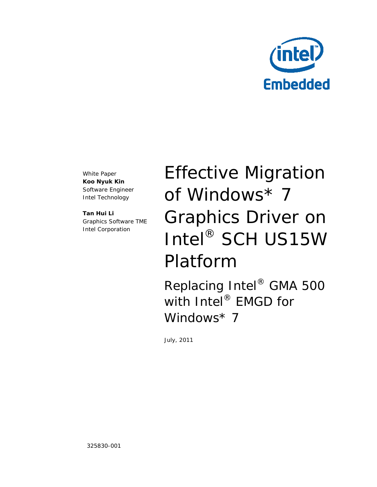

White Paper **Koo Nyuk Kin** Software Engineer Intel Technology

**Tan Hui Li** Graphics Software TME Intel Corporation

Effective Migration of Windows\* 7 Graphics Driver on Intel® SCH US15W Platform

Replacing Intel® GMA 500 with Intel<sup>®</sup> EMGD for Windows\* 7

July, 2011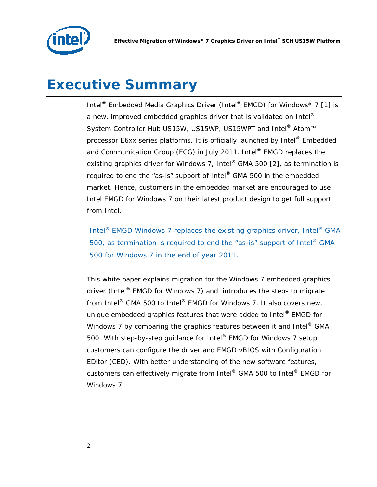

## *Executive Summary*

Intel® Embedded Media Graphics Driver (Intel® EMGD) for Windows\* 7 [1] is a new, improved embedded graphics driver that is validated on Intel $^{\circ}$ System Controller Hub US15W, US15WP, US15WPT and Intel<sup>®</sup> Atom<sup>™</sup> processor E6xx series platforms. It is officially launched by Intel® Embedded and Communication Group (ECG) in July 2011. Intel<sup>®</sup> EMGD replaces the existing graphics driver for Windows 7, Intel® GMA 500 [2], as termination is required to end the "as-is" support of Intel® GMA 500 in the embedded market. Hence, customers in the embedded market are encouraged to use Intel EMGD for Windows 7 on their latest product design to get full support from Intel.

Intel® EMGD Windows 7 replaces the existing graphics driver, Intel® GMA 500, as termination is required to end the "as-is" support of Intel® GMA 500 for Windows 7 in the end of year 2011.

This white paper explains migration for the Windows 7 embedded graphics driver (Intel<sup>®</sup> EMGD for Windows 7) and introduces the steps to migrate from Intel® GMA 500 to Intel® EMGD for Windows 7. It also covers new, unique embedded graphics features that were added to Intel® EMGD for Windows 7 by comparing the graphics features between it and Intel<sup>®</sup> GMA 500. With step-by-step guidance for Intel® EMGD for Windows 7 setup, customers can configure the driver and EMGD vBIOS with Configuration EDitor (CED). With better understanding of the new software features, customers can effectively migrate from Intel® GMA 500 to Intel® EMGD for Windows 7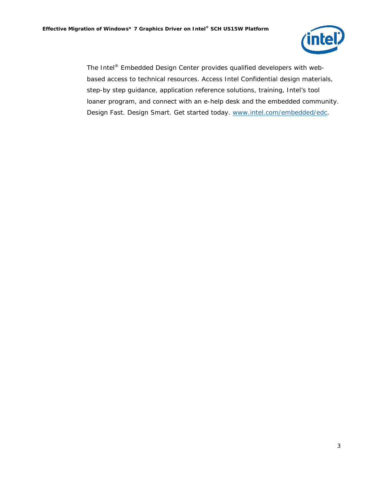

The Intel® Embedded Design Center provides qualified developers with webbased access to technical resources. Access Intel Confidential design materials, step-by step guidance, application reference solutions, training, Intel's tool loaner program, and connect with an e-help desk and the embedded community. Design Fast. Design Smart. Get started today. [www.intel.com/embedded/edc.](http://www.intel.com/embedded/edc)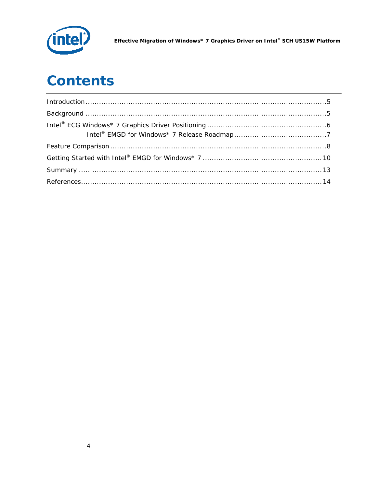

Effective Migration of Windows\* 7 Graphics Driver on Intel® SCH US15W Platform

# **Contents**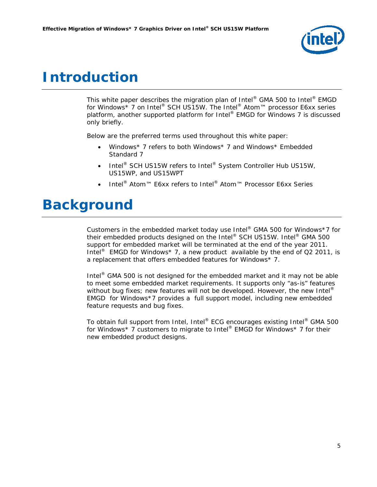

### <span id="page-4-0"></span>*Introduction*

This white paper describes the migration plan of Intel<sup>®</sup> GMA 500 to Intel<sup>®</sup> EMGD for Windows<sup>\*</sup> 7 on Intel<sup>®</sup> SCH US15W. The Intel<sup>®</sup> Atom™ processor E6xx series platform, another supported platform for Intel® EMGD for Windows 7 is discussed only briefly.

Below are the preferred terms used throughout this white paper:

- *Windows\* 7* refers to both Windows\* 7 and Windows\* Embedded Standard 7
- *Intel® SCH US15W* refers to Intel® System Controller Hub US15W, US15WP, and US15WPT
- *Intel® Atom™ E6xx* refers to Intel® Atom™ Processor E6xx Series

### <span id="page-4-1"></span>*Background*

Customers in the embedded market today use Intel® GMA 500 for Windows\*7 for their embedded products designed on the Intel® SCH US15W. Intel® GMA 500 support for embedded market will be terminated at the end of the year 2011. Intel<sup>®</sup> EMGD for Windows\* 7, a new product available by the end of Q2 2011, is a replacement that offers embedded features for Windows\* 7.

Intel<sup>®</sup> GMA 500 is not designed for the embedded market and it may not be able to meet some embedded market requirements. It supports only "as-is" features without bug fixes; new features will not be developed. However, the new Intel® EMGD for Windows\*7 provides a full support model, including new embedded feature requests and bug fixes.

To obtain full support from Intel, Intel® ECG encourages existing Intel® GMA 500 for Windows\* 7 customers to migrate to Intel® EMGD for Windows\* 7 for their new embedded product designs.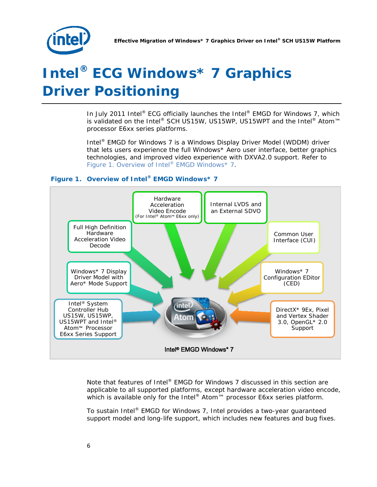

# <span id="page-5-0"></span>*Intel® ECG Windows\* 7 Graphics Driver Positioning*

In July 2011 Intel<sup>®</sup> ECG officially launches the Intel<sup>®</sup> EMGD for Windows 7, which is validated on the Intel® SCH US15W, US15WP, US15WPT and the Intel® Atom™ processor E6xx series platforms.

Intel® EMGD for Windows 7 is a Windows Display Driver Model (WDDM) driver that lets users experience the full Windows\* Aero user interface, better graphics technologies, and improved video experience with DXVA2.0 support. Refer to Figure 1. Overview of Intel® EMGD Windows\* 7.

#### **Figure 1. Overview of Intel® EMGD Windows\* 7**



Note that features of Intel® EMGD for Windows 7 discussed in this section are applicable to all supported platforms, except hardware acceleration video encode, which is available only for the Intel® Atom<sup> $M$ </sup> processor E6xx series platform.

To sustain Intel® EMGD for Windows 7, Intel provides a two-year guaranteed support model and long-life support, which includes new features and bug fixes.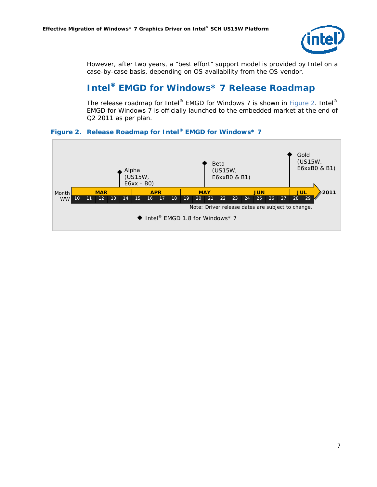

However, after two years, a "best effort" support model is provided by Intel on a case-by-case basis, depending on OS availability from the OS vendor.

### <span id="page-6-0"></span>**Intel® EMGD for Windows\* 7 Release Roadmap**

The release roadmap for Intel® EMGD for Windows 7 is shown in Figure 2. Intel® EMGD for Windows 7 is officially launched to the embedded market at the end of Q2 2011 as per plan.

#### **Figure 2. Release Roadmap for Intel® EMGD for Windows\* 7**

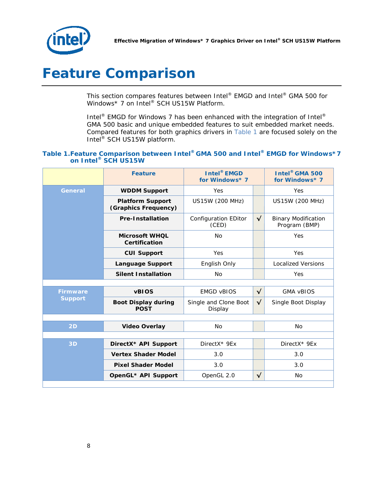

# <span id="page-7-0"></span>*Feature Comparison*

This section compares features between Intel® EMGD and Intel® GMA 500 for Windows\* 7 on Intel® SCH US15W Platform.

Intel<sup>®</sup> EMGD for Windows 7 has been enhanced with the integration of Intel<sup>®</sup> GMA 500 basic and unique embedded features to suit embedded market needs. Compared features for both graphics drivers in Table 1 are focused solely on the Intel<sup>®</sup> SCH US15W platform.

#### **Table 1.Feature Comparison between Intel® GMA 500 and Intel® EMGD for Windows\*7 on Intel® SCH US15W**

|                                   | <b>Feature</b>                                  | <b>Intel® EMGD</b><br>for Windows* 7 |              | <b>Intel<sup>®</sup> GMA 500</b><br>for Windows* 7 |  |
|-----------------------------------|-------------------------------------------------|--------------------------------------|--------------|----------------------------------------------------|--|
| <b>General</b>                    | <b>WDDM Support</b>                             | Yes                                  |              | Yes                                                |  |
|                                   | <b>Platform Support</b><br>(Graphics Frequency) | <b>US15W (200 MHz)</b>               |              | US15W (200 MHz)                                    |  |
|                                   | <b>Pre-Installation</b>                         | <b>Configuration EDitor</b><br>(CED) | $\checkmark$ | <b>Binary Modification</b><br>Program (BMP)        |  |
|                                   | <b>Microsoft WHOL</b><br>Certification          | N <sub>O</sub>                       |              | Yes                                                |  |
|                                   | <b>CUI Support</b>                              | Yes                                  |              | Yes                                                |  |
|                                   | <b>Language Support</b>                         | English Only                         |              | <b>Localized Versions</b>                          |  |
|                                   | <b>Silent Installation</b>                      | <b>No</b>                            |              | Yes                                                |  |
|                                   |                                                 |                                      |              |                                                    |  |
| <b>Firmware</b><br><b>Support</b> | <b>vBIOS</b>                                    | <b>EMGD VBIOS</b>                    | $\sqrt{}$    | <b>GMA vBIOS</b>                                   |  |
|                                   | <b>Boot Display during</b><br><b>POST</b>       | Single and Clone Boot<br>Display     | $\checkmark$ | Single Boot Display                                |  |
|                                   |                                                 |                                      |              |                                                    |  |
| 2D                                | <b>Video Overlay</b>                            | No                                   |              | N <sub>o</sub>                                     |  |
|                                   |                                                 |                                      |              |                                                    |  |
| 3D                                | DirectX* API Support                            | DirectX* 9Ex                         |              | DirectX* 9Ex                                       |  |
|                                   | <b>Vertex Shader Model</b>                      | 3.0                                  |              | 3.0                                                |  |
|                                   | <b>Pixel Shader Model</b>                       | 3.0                                  |              | 3.0                                                |  |
|                                   | OpenGL* API Support                             | OpenGL 2.0                           | $\checkmark$ | <b>No</b>                                          |  |
|                                   |                                                 |                                      |              |                                                    |  |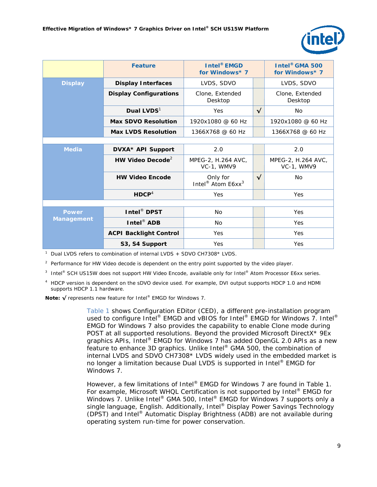

|                                   | <b>Feature</b>                | <b>Intel<sup>®</sup></b> EMGD<br>for Windows* 7       |              | Intel <sup>®</sup> GMA 500<br>for Windows* 7 |  |
|-----------------------------------|-------------------------------|-------------------------------------------------------|--------------|----------------------------------------------|--|
| <b>Display</b>                    | <b>Display Interfaces</b>     | LVDS, SDVO                                            |              | LVDS, SDVO                                   |  |
|                                   | <b>Display Configurations</b> | Clone, Extended<br>Desktop                            |              | Clone, Extended<br>Desktop                   |  |
|                                   | Dual LVDS <sup>1</sup>        | Yes                                                   | $\checkmark$ | No.                                          |  |
|                                   | <b>Max SDVO Resolution</b>    | 1920x1080 @ 60 Hz                                     |              | 1920x1080 @ 60 Hz                            |  |
|                                   | <b>Max LVDS Resolution</b>    | 1366X768 @ 60 Hz                                      |              | 1366X768 @ 60 Hz                             |  |
|                                   |                               |                                                       |              |                                              |  |
| <b>Media</b>                      | DVXA* API Support             | 2.0                                                   |              | 2.0                                          |  |
|                                   | HW Video Decode <sup>2</sup>  | MPEG-2, H.264 AVC,<br>VC-1, WMV9                      |              | MPEG-2, H.264 AVC,<br>VC-1, WMV9             |  |
|                                   | <b>HW Video Encode</b>        | Only for<br>Intel <sup>®</sup> Atom E6xx <sup>3</sup> | $\sqrt{ }$   | <b>No</b>                                    |  |
|                                   | HDCP <sup>4</sup>             | Yes                                                   |              | Yes                                          |  |
|                                   |                               |                                                       |              |                                              |  |
| <b>Power</b><br><b>Management</b> | Intel <sup>®</sup> DPST       | N <sub>o</sub>                                        |              | Yes                                          |  |
|                                   | Intel <sup>®</sup> ADB        | N <sub>o</sub>                                        |              | Yes                                          |  |
|                                   | <b>ACPI Backlight Control</b> | Yes                                                   |              | Yes                                          |  |
|                                   | S3, S4 Support                | Yes                                                   |              | Yes                                          |  |

<sup>1</sup> Dual LVDS refers to combination of internal LVDS + SDVO CH7308\* LVDS.

<sup>2</sup> Performance for HW Video decode is dependent on the entry point supported by the video player.

3 Intel<sup>®</sup> SCH US15W does not support HW Video Encode, available only for Intel® Atom Processor E6xx series.

<sup>4</sup> HDCP version is dependent on the sDVO device used. For example, DVI output supports HDCP 1.0 and HDMI supports HDCP 1.1 hardware.

**Note: √** represents new feature for Intel® EMGD for Windows 7.

Table 1 shows Configuration EDitor (CED), a different pre-installation program used to configure Intel® EMGD and vBIOS for Intel® EMGD for Windows 7. Intel® EMGD for Windows 7 also provides the capability to enable Clone mode during POST at all supported resolutions. Beyond the provided Microsoft DirectX\* 9Ex graphics APIs, Intel® EMGD for Windows 7 has added OpenGL 2.0 APIs as a new feature to enhance 3D graphics. Unlike Intel® GMA 500, the combination of internal LVDS and SDVO CH7308\* LVDS widely used in the embedded market is no longer a limitation because Dual LVDS is supported in Intel® EMGD for Windows 7.

However, a few limitations of Intel® EMGD for Windows 7 are found in Table 1. For example, Microsoft WHQL Certification is not supported by Intel<sup>®</sup> EMGD for Windows 7. Unlike Intel® GMA 500, Intel® EMGD for Windows 7 supports only a single language, English. Additionally, Intel® Display Power Savings Technology (DPST) and Intel® Automatic Display Brightness (ADB) are not available during operating system run-time for power conservation.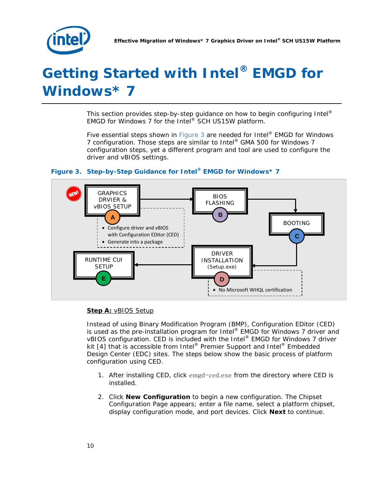

# <span id="page-9-0"></span>*Getting Started with Intel® EMGD for Windows\* 7*

This section provides step-by-step guidance on how to begin configuring Intel® EMGD for Windows 7 for the Intel® SCH US15W platform.

Five essential steps shown in Figure 3 are needed for Intel® EMGD for Windows 7 configuration. Those steps are similar to Intel® GMA 500 for Windows 7 configuration steps, yet a different program and tool are used to configure the driver and vBIOS settings.



#### **Figure 3. Step-by-Step Guidance for Intel® EMGD for Windows\* 7**

#### **Step A:** vBIOS Setup

Instead of using Binary Modification Program (BMP), Configuration EDitor (CED) is used as the pre-installation program for Intel® EMGD for Windows 7 driver and vBIOS configuration. CED is included with the Intel® EMGD for Windows 7 driver kit  $[4]$  that is accessible from Intel® Premier Support and Intel® Embedded Design Center (EDC) sites. The steps below show the basic process of platform configuration using CED.

- 1. After installing CED, click emgd-ced.exe from the directory where CED is installed.
- 2. Click **New Configuration** to begin a new configuration. The Chipset Configuration Page appears; enter a file name, select a platform chipset, display configuration mode, and port devices. Click **Next** to continue.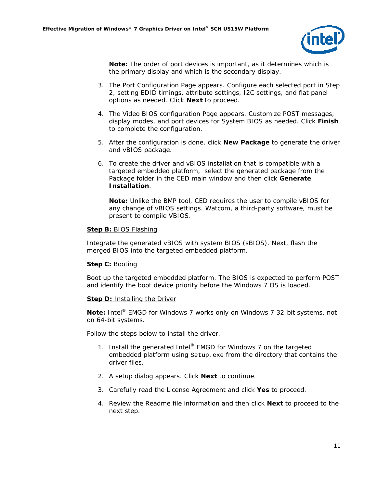

**Note:** The order of port devices is important, as it determines which is the primary display and which is the secondary display.

- 3. The Port Configuration Page appears. Configure each selected port in Step 2, setting EDID timings, attribute settings, I2C settings, and flat panel options as needed. Click **Next** to proceed.
- 4. The Video BIOS configuration Page appears. Customize POST messages, display modes, and port devices for System BIOS as needed. Click **Finish** to complete the configuration.
- 5. After the configuration is done, click **New Package** to generate the driver and vBIOS package.
- 6. To create the driver and vBIOS installation that is compatible with a targeted embedded platform, select the generated package from the Package folder in the CED main window and then click **Generate Installation**.

**Note:** Unlike the BMP tool, CED requires the user to compile vBIOS for any change of vBIOS settings. Watcom, a third-party software, must be present to compile VBIOS.

#### **Step B:** BIOS Flashing

Integrate the generated vBIOS with system BIOS (sBIOS). Next, flash the merged BIOS into the targeted embedded platform.

#### **Step C: Booting**

Boot up the targeted embedded platform. The BIOS is expected to perform POST and identify the boot device priority before the Windows 7 OS is loaded.

#### **Step D: Installing the Driver**

**Note:** Intel® EMGD for Windows 7 works only on Windows 7 32-bit systems, not on 64-bit systems.

Follow the steps below to install the driver.

- 1. Install the generated Intel<sup>®</sup> EMGD for Windows 7 on the targeted embedded platform using Setup.exe from the directory that contains the driver files.
- 2. A setup dialog appears. Click **Next** to continue.
- 3. Carefully read the License Agreement and click **Yes** to proceed.
- 4. Review the Readme file information and then click **Next** to proceed to the next step.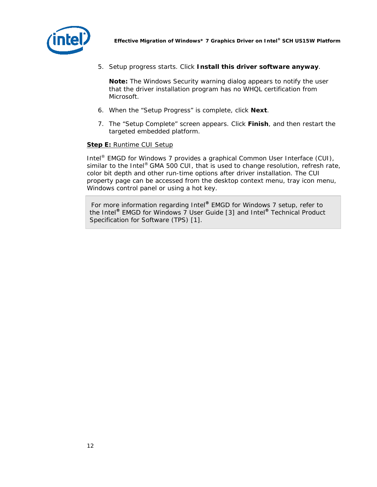

*Effective Migration of Windows\* 7 Graphics Driver on Intel® SCH US15W Platform*

5. Setup progress starts. Click **Install this driver software anyway**.

**Note:** The Windows Security warning dialog appears to notify the user that the driver installation program has no WHQL certification from Microsoft.

- 6. When the "Setup Progress" is complete, click **Next**.
- 7. The "Setup Complete" screen appears. Click **Finish**, and then restart the targeted embedded platform.

#### **Step E: Runtime CUI Setup**

Intel® EMGD for Windows 7 provides a graphical Common User Interface (CUI), similar to the Intel<sup>®</sup> GMA 500 CUI, that is used to change resolution, refresh rate, color bit depth and other run-time options after driver installation. The CUI property page can be accessed from the desktop context menu, tray icon menu, Windows control panel or using a hot key.

 For more information regarding Intel**®** EMGD for Windows 7 setup, refer to the Intel**®** EMGD for Windows 7 User Guide [3] and Intel**®** Technical Product Specification for Software (TPS) [1].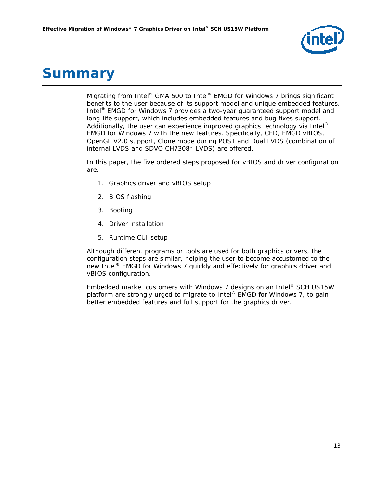

### <span id="page-12-0"></span>*Summary*

Migrating from Intel® GMA 500 to Intel® EMGD for Windows 7 brings significant benefits to the user because of its support model and unique embedded features. Intel® EMGD for Windows 7 provides a two-year guaranteed support model and long-life support, which includes embedded features and bug fixes support. Additionally, the user can experience improved graphics technology via Intel® EMGD for Windows 7 with the new features. Specifically, CED, EMGD vBIOS, OpenGL V2.0 support, Clone mode during POST and Dual LVDS (combination of internal LVDS and SDVO CH7308\* LVDS) are offered.

In this paper, the five ordered steps proposed for vBIOS and driver configuration are:

- 1. Graphics driver and vBIOS setup
- 2. BIOS flashing
- 3. Booting
- 4. Driver installation
- 5. Runtime CUI setup

Although different programs or tools are used for both graphics drivers, the configuration steps are similar, helping the user to become accustomed to the new Intel® EMGD for Windows 7 quickly and effectively for graphics driver and vBIOS configuration.

Embedded market customers with Windows 7 designs on an Intel® SCH US15W platform are strongly urged to migrate to Intel® EMGD for Windows 7, to gain better embedded features and full support for the graphics driver.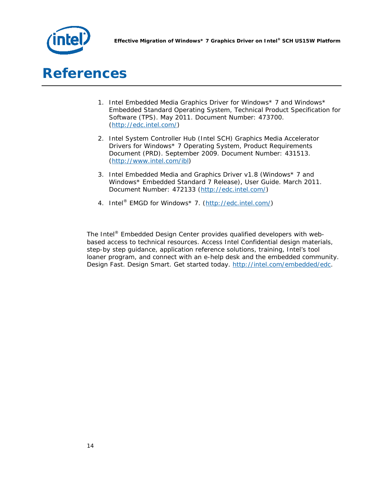

### <span id="page-13-0"></span>*References*

- 1. *Intel Embedded Media Graphics Driver for Windows\* 7 and Windows\* Embedded Standard Operating System, Technical Product Specification for Software (TPS).* May 2011. Document Number: 473700. [\(http://edc.intel.com/\)](http://edc.intel.com/)
- 2. *Intel System Controller Hub (Intel SCH) Graphics Media Accelerator Drivers for Windows\* 7 Operating System, Product Requirements Document (PRD).* September 2009. Document Number: 431513. [\(http://www.intel.com/ibl\)](http://www.intel.com/ibl)
- 3. *Intel Embedded Media and Graphics Driver v1.8 (Windows\* 7 and Windows\* Embedded Standard 7 Release), User Guide.* March 2011. Document Number: 472133 [\(http://edc.intel.com/\)](http://edc.intel.com/)
- 4. Intel<sup>®</sup> EMGD for Windows\* 7. [\(http://edc.intel.com/\)](http://edc.intel.com/)

The Intel® Embedded Design Center provides qualified developers with webbased access to technical resources. Access Intel Confidential design materials, step-by step guidance, application reference solutions, training, Intel's tool loaner program, and connect with an e-help desk and the embedded community. Design Fast. Design Smart. Get started today. [http://intel.com/embedded/edc.](http://intel.com/embedded/edc)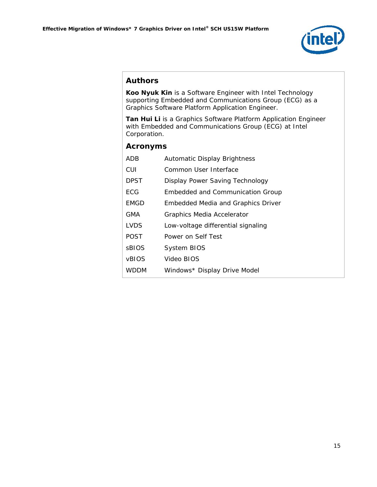

#### **Authors**

**Koo Nyuk Kin** is a Software Engineer with Intel Technology supporting Embedded and Communications Group (ECG) as a Graphics Software Platform Application Engineer.

**Tan Hui Li** is a Graphics Software Platform Application Engineer with Embedded and Communications Group (ECG) at Intel Corporation.

#### **Acronyms**

| ADB          | <b>Automatic Display Brightness</b>       |
|--------------|-------------------------------------------|
| CUI          | Common User Interface                     |
| <b>DPST</b>  | Display Power Saving Technology           |
| ECG          | <b>Embedded and Communication Group</b>   |
| <b>EMGD</b>  | <b>Embedded Media and Graphics Driver</b> |
| GMA          | Graphics Media Accelerator                |
| <b>LVDS</b>  | Low-voltage differential signaling        |
| <b>POST</b>  | Power on Self Test                        |
| <b>SBIOS</b> | <b>System BIOS</b>                        |
| <b>VBIOS</b> | Video BIOS                                |
| WDDM         | Windows* Display Drive Model              |